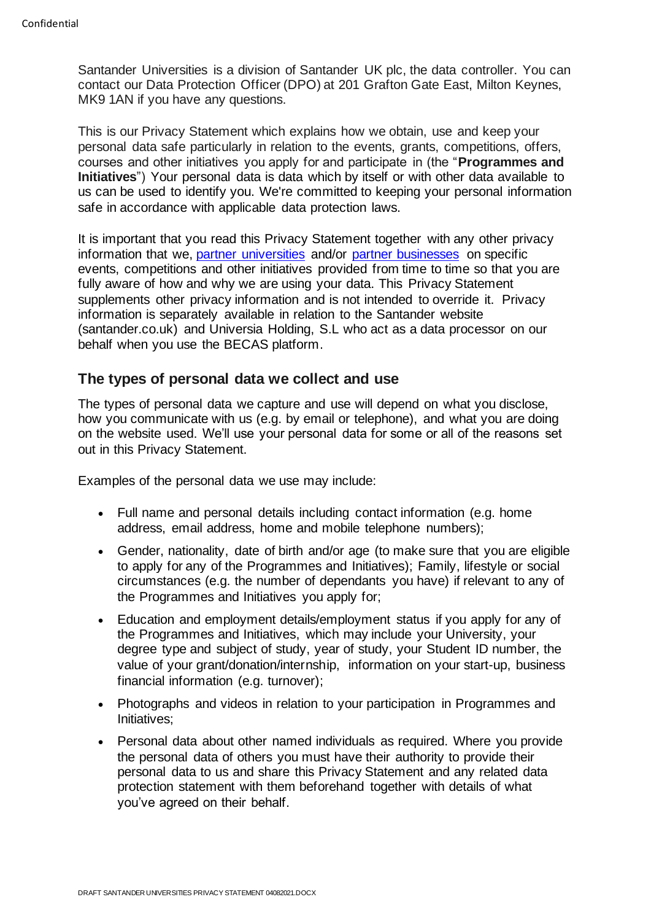Santander Universities is a division of Santander UK plc, the data controller. You can contact our Data Protection Officer (DPO) at 201 Grafton Gate East, Milton Keynes, MK9 1AN if you have any questions.

This is our Privacy Statement which explains how we obtain, use and keep your personal data safe particularly in relation to the events, grants, competitions, offers, courses and other initiatives you apply for and participate in (the "**Programmes and Initiatives**") Your personal data is data which by itself or with other data available to us can be used to identify you. We're committed to keeping your personal information safe in accordance with applicable data protection laws.

It is important that you read this Privacy Statement together with any other privacy information that we, [partner universities](https://www.santander.co.uk/universities/our-partners) and/or [partner businesses](https://www.santander.co.uk/universities/events) on specific events, competitions and other initiatives provided from time to time so that you are fully aware of how and why we are using your data. This Privacy Statement supplements other privacy information and is not intended to override it. Privacy information is separately available in relation to the Santander website [\(santander.co.uk\)](https://www.santander.co.uk/) and Universia Holding, S.L who act as a data processor on our behalf when you use the BECAS platform.

### **The types of personal data we collect and use**

The types of personal data we capture and use will depend on what you disclose, how you communicate with us (e.g. by email or telephone), and what you are doing on the website used. We'll use your personal data for some or all of the reasons set out in this Privacy Statement.

Examples of the personal data we use may include:

- Full name and personal details including contact information (e.g. home address, email address, home and mobile telephone numbers);
- Gender, nationality, date of birth and/or age (to make sure that you are eligible to apply for any of the Programmes and Initiatives); Family, lifestyle or social circumstances (e.g. the number of dependants you have) if relevant to any of the Programmes and Initiatives you apply for;
- Education and employment details/employment status if you apply for any of the Programmes and Initiatives, which may include your University, your degree type and subject of study, year of study, your Student ID number, the value of your grant/donation/internship, information on your start-up, business financial information (e.g. turnover);
- Photographs and videos in relation to your participation in Programmes and Initiatives;
- Personal data about other named individuals as required. Where you provide the personal data of others you must have their authority to provide their personal data to us and share this Privacy Statement and any related data protection statement with them beforehand together with details of what you've agreed on their behalf.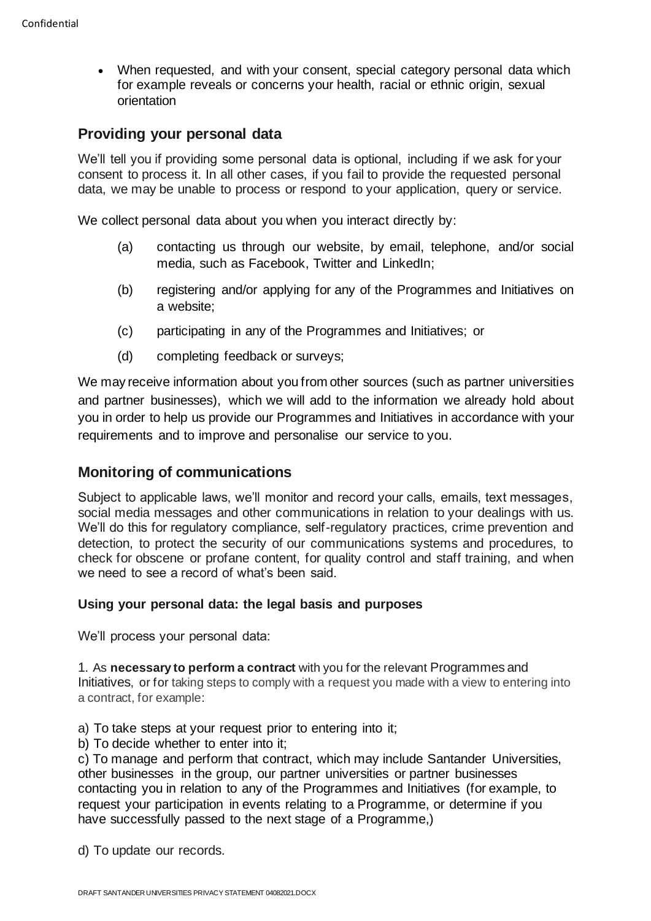• When requested, and with your consent, special category personal data which for example reveals or concerns your health, racial or ethnic origin, sexual orientation

## **Providing your personal data**

We'll tell you if providing some personal data is optional, including if we ask for your consent to process it. In all other cases, if you fail to provide the requested personal data, we may be unable to process or respond to your application, query or service.

We collect personal data about you when you interact directly by:

- (a) contacting us through our website, by email, telephone, and/or social media, such as Facebook, Twitter and LinkedIn;
- (b) registering and/or applying for any of the Programmes and Initiatives on a website;
- (c) participating in any of the Programmes and Initiatives; or
- (d) completing feedback or surveys;

We may receive information about you from other sources (such as partner universities and partner businesses), which we will add to the information we already hold about you in order to help us provide our Programmes and Initiatives in accordance with your requirements and to improve and personalise our service to you.

### **Monitoring of communications**

Subject to applicable laws, we'll monitor and record your calls, emails, text messages, social media messages and other communications in relation to your dealings with us. We'll do this for regulatory compliance, self-regulatory practices, crime prevention and detection, to protect the security of our communications systems and procedures, to check for obscene or profane content, for quality control and staff training, and when we need to see a record of what's been said.

#### **Using your personal data: the legal basis and purposes**

We'll process your personal data:

1. As **necessary to perform a contract** with you for the relevant Programmes and Initiatives, or for taking steps to comply with a request you made with a view to entering into a contract, for example:

a) To take steps at your request prior to entering into it;

b) To decide whether to enter into it;

c) To manage and perform that contract, which may include Santander Universities, other businesses in the group, our partner universities or partner businesses contacting you in relation to any of the Programmes and Initiatives (for example, to request your participation in events relating to a Programme, or determine if you have successfully passed to the next stage of a Programme,)

d) To update our records.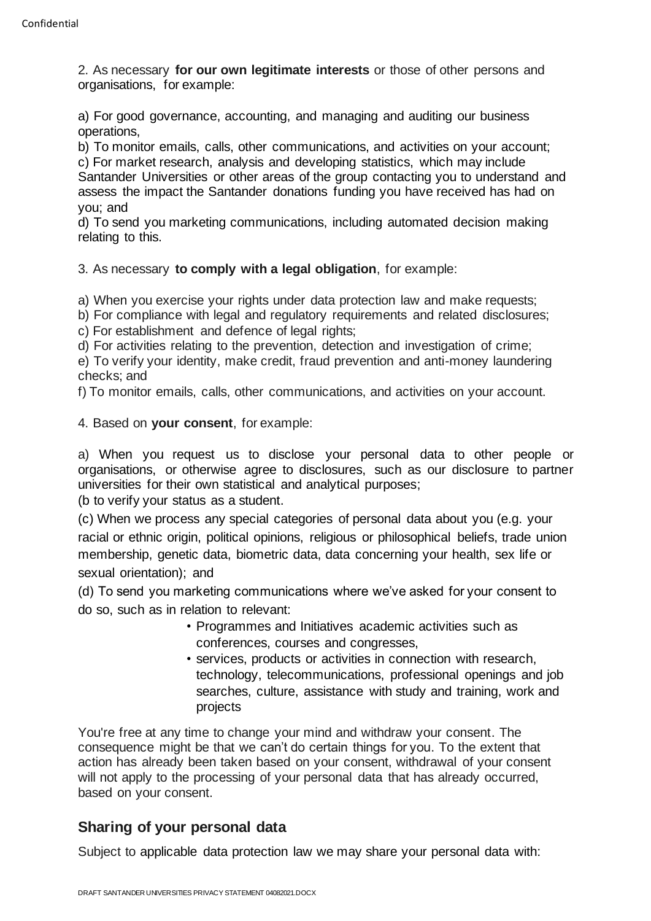2. As necessary **for our own legitimate interests** or those of other persons and organisations, for example:

a) For good governance, accounting, and managing and auditing our business operations,

b) To monitor emails, calls, other communications, and activities on your account; c) For market research, analysis and developing statistics, which may include Santander Universities or other areas of the group contacting you to understand and assess the impact the Santander donations funding you have received has had on you; and

d) To send you marketing communications, including automated decision making relating to this.

3. As necessary **to comply with a legal obligation**, for example:

a) When you exercise your rights under data protection law and make requests;

b) For compliance with legal and regulatory requirements and related disclosures;

c) For establishment and defence of legal rights:

d) For activities relating to the prevention, detection and investigation of crime;

e) To verify your identity, make credit, fraud prevention and anti-money laundering checks; and

f) To monitor emails, calls, other communications, and activities on your account.

4. Based on **your consent**, for example:

a) When you request us to disclose your personal data to other people or organisations, or otherwise agree to disclosures, such as our disclosure to partner universities for their own statistical and analytical purposes;

(b to verify your status as a student.

(c) When we process any special categories of personal data about you (e.g. your racial or ethnic origin, political opinions, religious or philosophical beliefs, trade union membership, genetic data, biometric data, data concerning your health, sex life or sexual orientation); and

(d) To send you marketing communications where we've asked for your consent to do so, such as in relation to relevant:

- Programmes and Initiatives academic activities such as conferences, courses and congresses,
- services, products or activities in connection with research, technology, telecommunications, professional openings and job searches, culture, assistance with study and training, work and projects

You're free at any time to change your mind and withdraw your consent. The consequence might be that we can't do certain things for you. To the extent that action has already been taken based on your consent, withdrawal of your consent will not apply to the processing of your personal data that has already occurred, based on your consent.

## **Sharing of your personal data**

Subject to applicable data protection law we may share your personal data with: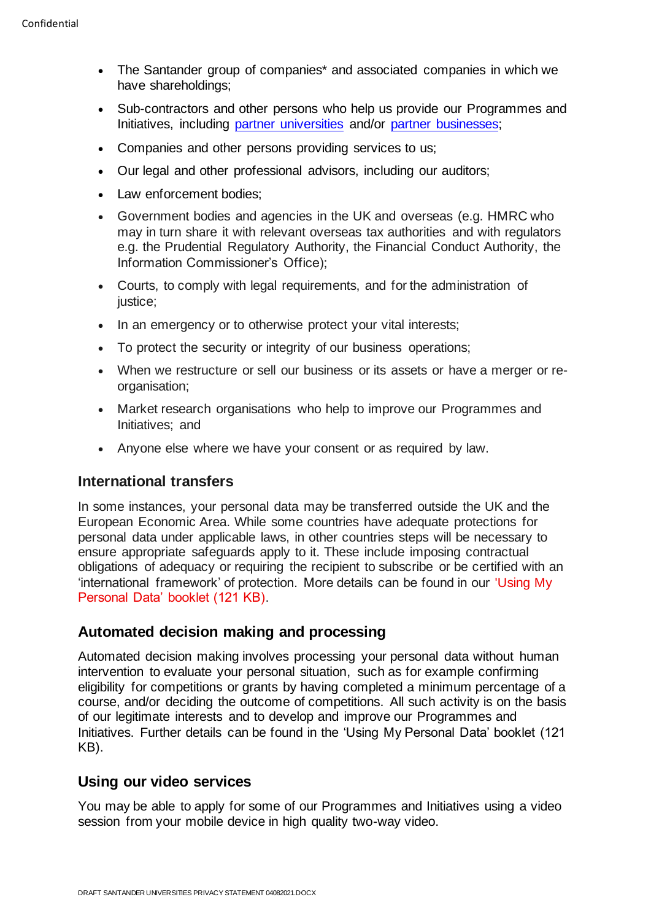- The Santander group of companies\* and associated companies in which we have shareholdings:
- Sub-contractors and other persons who help us provide our Programmes and Initiatives, including [partner universities](https://www.santander.co.uk/universities/our-partners) and/or [partner businesses;](https://www.santander.co.uk/universities/events)
- Companies and other persons providing services to us;
- Our legal and other professional advisors, including our auditors;
- Law enforcement bodies;
- Government bodies and agencies in the UK and overseas (e.g. HMRC who may in turn share it with relevant overseas tax authorities and with regulators e.g. the Prudential Regulatory Authority, the Financial Conduct Authority, the Information Commissioner's Office);
- Courts, to comply with legal requirements, and for the administration of justice;
- In an emergency or to otherwise protect your vital interests;
- To protect the security or integrity of our business operations;
- When we restructure or sell our business or its assets or have a merger or reorganisation;
- Market research organisations who help to improve our Programmes and Initiatives; and
- Anyone else where we have your consent or as required by law.

#### **International transfers**

In some instances, your personal data may be transferred outside the UK and the European Economic Area. While some countries have adequate protections for personal data under applicable laws, in other countries steps will be necessary to ensure appropriate safeguards apply to it. These include imposing contractual obligations of adequacy or requiring the recipient to subscribe or be certified with an 'international framework' of protection. More details can be found in our ['Using My](https://www.santander.co.uk/assets/s3fs-public/documents/using_my_personal_data_core0026mar21h.pdf)  [Personal Data' booklet \(121 KB\).](https://www.santander.co.uk/assets/s3fs-public/documents/using_my_personal_data_core0026mar21h.pdf)

#### **Automated decision making and processing**

Automated decision making involves processing your personal data without human intervention to evaluate your personal situation, such as for example confirming eligibility for competitions or grants by having completed a minimum percentage of a course, and/or deciding the outcome of competitions. All such activity is on the basis of our legitimate interests and to develop and improve our Programmes and Initiatives. Further details can be found in th[e](https://www.santander.co.uk/assets/s3fs-public/2018-09/Using%20my%20personal%20data.pdf) ['Using My Personal Data' booklet \(121](https://www.santander.co.uk/assets/s3fs-public/documents/using_my_personal_data_core0026mar21h.pdf)  [KB\).](https://www.santander.co.uk/assets/s3fs-public/documents/using_my_personal_data_core0026mar21h.pdf)

#### **Using our video services**

You may be able to apply for some of our Programmes and Initiatives using a video session from your mobile device in high quality two-way video.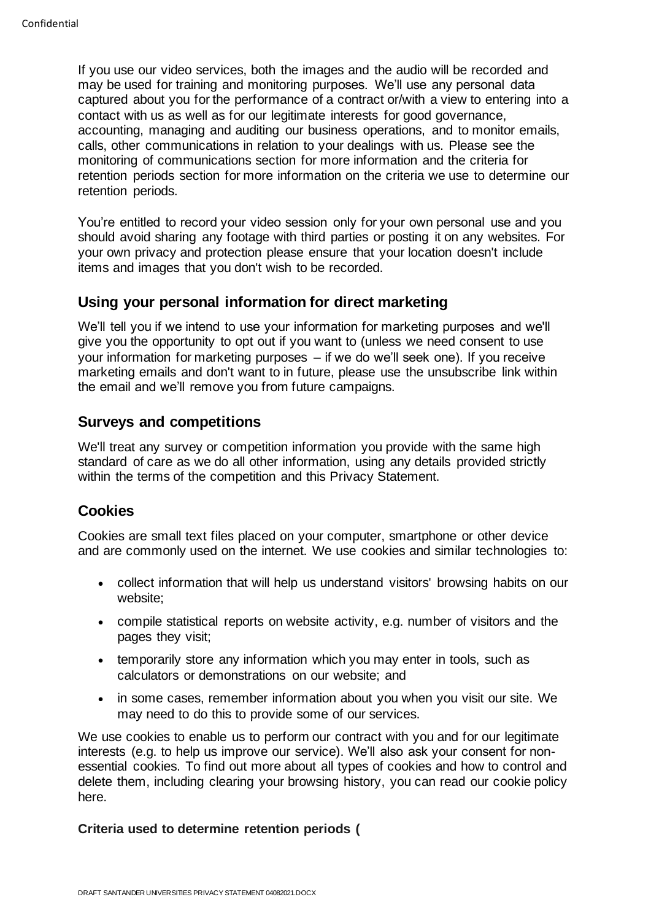If you use our video services, both the images and the audio will be recorded and may be used for training and monitoring purposes. We'll use any personal data captured about you for the performance of a contract or/with a view to entering into a contact with us as well as for our legitimate interests for good governance, accounting, managing and auditing our business operations, and to monitor emails, calls, other communications in relation to your dealings with us. Please see the monitoring of communications section for more information and the criteria for retention periods section for more information on the criteria we use to determine our retention periods.

You're entitled to record your video session only for your own personal use and you should avoid sharing any footage with third parties or posting it on any websites. For your own privacy and protection please ensure that your location doesn't include items and images that you don't wish to be recorded.

## **Using your personal information for direct marketing**

We'll tell you if we intend to use your information for marketing purposes and we'll give you the opportunity to opt out if you want to (unless we need consent to use your information for marketing purposes – if we do we'll seek one). If you receive marketing emails and don't want to in future, please use the unsubscribe link within the email and we'll remove you from future campaigns.

## **Surveys and competitions**

We'll treat any survey or competition information you provide with the same high standard of care as we do all other information, using any details provided strictly within the terms of the competition and this Privacy Statement.

## **Cookies**

Cookies are small text files placed on your computer, smartphone or other device and are commonly used on the internet. We use cookies and similar technologies to:

- collect information that will help us understand visitors' browsing habits on our website;
- compile statistical reports on website activity, e.g. number of visitors and the pages they visit;
- temporarily store any information which you may enter in tools, such as calculators or demonstrations on our website; and
- in some cases, remember information about you when you visit our site. We may need to do this to provide some of our services.

We use cookies to enable us to perform our contract with you and for our legitimate interests (e.g. to help us improve our service). We'll also ask your consent for nonessential cookies. To find out more about all types of cookies and how to control and delete them, including clearing your browsing history, you can read our cookie policy here.

#### **Criteria used to determine retention periods (**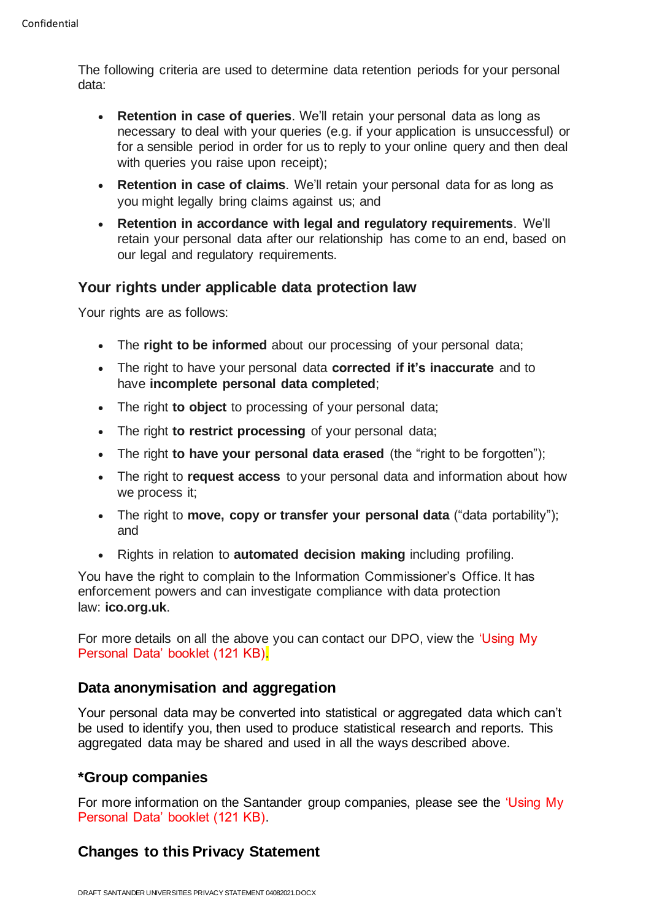The following criteria are used to determine data retention periods for your personal data:

- **Retention in case of queries**. We'll retain your personal data as long as necessary to deal with your queries (e.g. if your application is unsuccessful) or for a sensible period in order for us to reply to your online query and then deal with queries you raise upon receipt):
- **Retention in case of claims**. We'll retain your personal data for as long as you might legally bring claims against us; and
- **Retention in accordance with legal and regulatory requirements**. We'll retain your personal data after our relationship has come to an end, based on our legal and regulatory requirements.

## **Your rights under applicable data protection law**

Your rights are as follows:

- The **right to be informed** about our processing of your personal data;
- The right to have your personal data **corrected if it's inaccurate** and to have **incomplete personal data completed**;
- The right **to object** to processing of your personal data;
- The right **to restrict processing** of your personal data;
- The right **to have your personal data erased** (the "right to be forgotten");
- The right to **request access** to your personal data and information about how we process it;
- The right to **move, copy or transfer your personal data** ("data portability"); and
- Rights in relation to **automated decision making** including profiling.

You have the right to complain to the Information Commissioner's Office. It has enforcement powers and can investigate compliance with data protection law: **ico.org.uk**.

For more details on all the above you can contact our DPO, view the ['Using My](https://www.santander.co.uk/assets/s3fs-public/documents/using_my_personal_data_core0026mar21h.pdf)  [Personal Data' booklet \(121 KB\).](https://www.santander.co.uk/assets/s3fs-public/documents/using_my_personal_data_core0026mar21h.pdf)

### **Data anonymisation and aggregation**

Your personal data may be converted into statistical or aggregated data which can't be used to identify you, then used to produce statistical research and reports. This aggregated data may be shared and used in all the ways described above.

### **\*Group companies**

For more information on the Santander group companies, please see the 'Using My [Personal Data' booklet \(121 KB\).](https://www.santander.co.uk/assets/s3fs-public/documents/using_my_personal_data_core0026mar21h.pdf)

# **Changes to this Privacy Statement**